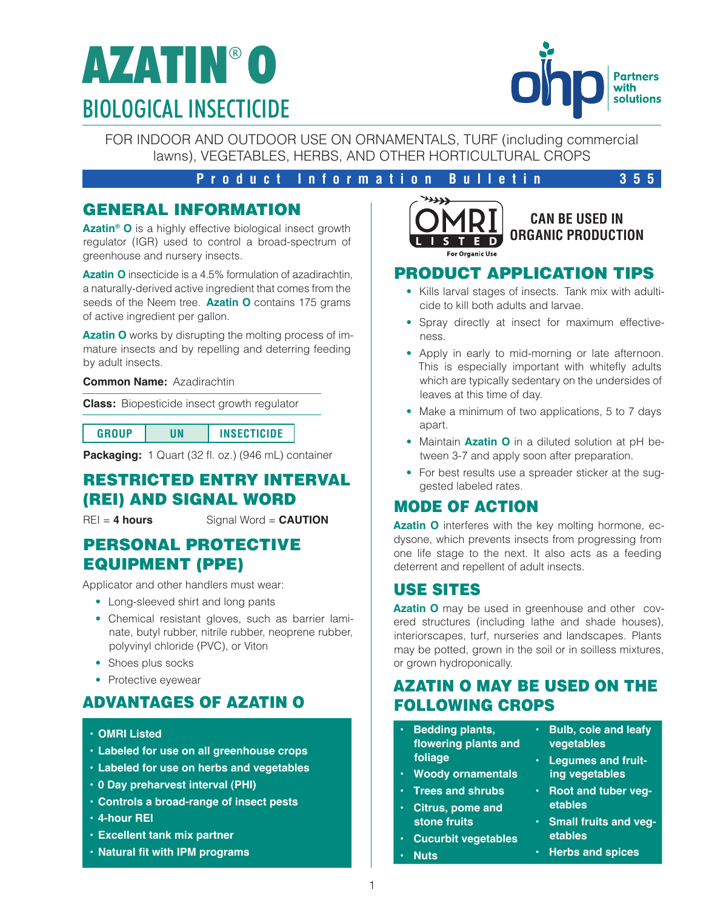# **AZATIN**® **O** BIOLOGICAL INSECTICIDE



FOR INDOOR AND OUTDOOR USE ON ORNAMENTALS, TURF (including commercial lawns), VEGETABLES, HERBS, AND OTHER HORTICULTURAL CROPS

#### **Product Information Bulletin 355**

### GENERAL INFORMATION

**Azatin® O** is a highly effective biological insect growth regulator (IGR) used to control a broad-spectrum of greenhouse and nursery insects.

**Azatin O** insecticide is a 4.5% formulation of azadirachtin, a naturally-derived active ingredient that comes from the seeds of the Neem tree. **Azatin O** contains 175 grams of active ingredient per gallon.

**Azatin O** works by disrupting the molting process of immature insects and by repelling and deterring feeding by adult insects.

#### **Common Name:** Azadirachtin

**Class:** Biopesticide insect growth regulator

**GROUP UN INSECTICIDE**

**Packaging:** 1 Quart (32 fl. oz.) (946 mL) container

## RESTRICTED ENTRY INTERVAL (REI) AND SIGNAL WORD

REI = **4 hours** Signal Word = **CAUTION**

## PERSONAL PROTECTIVE EQUIPMENT (PPE)

Applicator and other handlers must wear:

- Long-sleeved shirt and long pants
- Chemical resistant gloves, such as barrier laminate, butyl rubber, nitrile rubber, neoprene rubber, polyvinyl chloride (PVC), or Viton
- Shoes plus socks
- Protective eyewear

## ADVANTAGES OF AZATIN O

- **• OMRI Listed**
- **• Labeled for use on all greenhouse crops**
- **• Labeled for use on herbs and vegetables**
- **• 0 Day preharvest interval (PHI)**
- **• Controls a broad-range of insect pests**
- **• 4-hour REI**
- **• Excellent tank mix partner**
- **• Natural fit with IPM programs**



#### **CAN BE USED IN ORGANIC PRODUCTION**

#### PRODUCT APPLICATION TIPS

- Kills larval stages of insects. Tank mix with adulticide to kill both adults and larvae.
- Spray directly at insect for maximum effectiveness.
- Apply in early to mid-morning or late afternoon. This is especially important with whitefly adults which are typically sedentary on the undersides of leaves at this time of day.
- Make a minimum of two applications, 5 to 7 days apart.
- Maintain **Azatin O** in a diluted solution at pH between 3-7 and apply soon after preparation.
- For best results use a spreader sticker at the suggested labeled rates.

# MODE OF ACTION

**Azatin O** interferes with the key molting hormone, ecdysone, which prevents insects from progressing from one life stage to the next. It also acts as a feeding deterrent and repellent of adult insects.

## USE SITES

**Azatin O** may be used in greenhouse and other covered structures (including lathe and shade houses), interiorscapes, turf, nurseries and landscapes. Plants may be potted, grown in the soil or in soilless mixtures, or grown hydroponically.

## AZATIN O MAY BE USED ON THE FOLLOWING CROPS

| ٠<br>$\bullet$ | <b>Bedding plants,</b><br>flowering plants and<br>foliage<br><b>Woody ornamentals</b><br><b>Trees and shrubs</b><br>Citrus, pome and<br>stone fruits<br><b>Cucurbit vegetables</b><br><b>Nuts</b> | <b>Bulb, cole and leafy</b><br>vegetables<br><b>Legumes and fruit-</b><br>ing vegetables<br>$\cdot$ Root and tuber veg-<br>etables<br>· Small fruits and veg-<br>etables<br>• Herbs and spices |
|----------------|---------------------------------------------------------------------------------------------------------------------------------------------------------------------------------------------------|------------------------------------------------------------------------------------------------------------------------------------------------------------------------------------------------|
|                |                                                                                                                                                                                                   |                                                                                                                                                                                                |